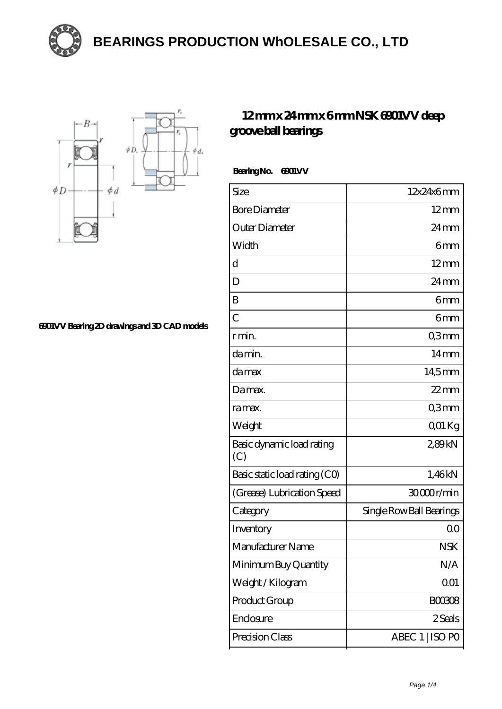

## **[BEARINGS PRODUCTION WhOLESALE CO., LTD](https://m.opjfd.com)**



**[6901VV Bearing 2D drawings and 3D CAD models](https://m.opjfd.com/pic-90259.html)**

## **[12 mm x 24 mm x 6 mm NSK 6901VV deep](https://m.opjfd.com/ar-90259-nsk-6901vv-deep-groove-ball-bearings.html) [groove ball bearings](https://m.opjfd.com/ar-90259-nsk-6901vv-deep-groove-ball-bearings.html)**

Bearing No. 6901 VV

| Size                             | 12x24x6mm                |
|----------------------------------|--------------------------|
| <b>Bore Diameter</b>             | $12 \text{mm}$           |
| Outer Diameter                   | $24 \,\mathrm{mm}$       |
| Width                            | 6mm                      |
| d                                | $12 \text{mm}$           |
| D                                | $24 \,\mathrm{mm}$       |
| B                                | 6 <sub>mm</sub>          |
| $\overline{C}$                   | 6 <sub>mm</sub>          |
| r min.                           | Q3mm                     |
| damin.                           | 14 <sub>mm</sub>         |
| damax                            | 14,5mm                   |
| Damax.                           | $22$ mm                  |
| ra max.                          | Q3mm                     |
| Weight                           | Q01 Kg                   |
| Basic dynamic load rating<br>(C) | 289kN                    |
| Basic static load rating (CO)    | 1,46kN                   |
| (Grease) Lubrication Speed       | 30000r/min               |
| Category                         | Single Row Ball Bearings |
| Inventory                        | 0 <sup>0</sup>           |
| Manufacturer Name                | <b>NSK</b>               |
| Minimum Buy Quantity             | N/A                      |
| Weight / Kilogram                | 001                      |
| Product Group                    | <b>BOO3O8</b>            |
| Enclosure                        | 2 Seals                  |
| Precision Class                  | ABEC 1   ISO PO          |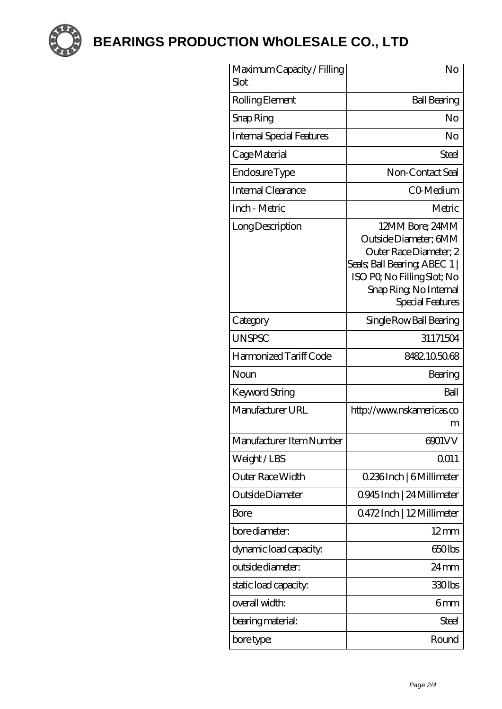

**[BEARINGS PRODUCTION WhOLESALE CO., LTD](https://m.opjfd.com)**

| Maximum Capacity / Filling<br>Slot | No                                                                                                                                                                               |
|------------------------------------|----------------------------------------------------------------------------------------------------------------------------------------------------------------------------------|
| Rolling Element                    | <b>Ball Bearing</b>                                                                                                                                                              |
| Snap Ring                          | No                                                                                                                                                                               |
| <b>Internal Special Features</b>   | No                                                                                                                                                                               |
| Cage Material                      | <b>Steel</b>                                                                                                                                                                     |
| Enclosure Type                     | Non-Contact Seal                                                                                                                                                                 |
| Internal Clearance                 | C0 Medium                                                                                                                                                                        |
| Inch - Metric                      | Metric                                                                                                                                                                           |
| Long Description                   | 12MM Bore; 24MM<br>Outside Diameter; 6MM<br>Outer Race Diameter, 2<br>Seals; Ball Bearing; ABEC 1  <br>ISO PO, No Filling Slot; No<br>Snap Ring, No Internal<br>Special Features |
| Category                           | Single Row Ball Bearing                                                                                                                                                          |
| <b>UNSPSC</b>                      | 31171504                                                                                                                                                                         |
| Harmonized Tariff Code             | 8482105068                                                                                                                                                                       |
| Noun                               | Bearing                                                                                                                                                                          |
| Keyword String                     | Ball                                                                                                                                                                             |
| Manufacturer URL                   | http://www.nskamericas.co<br>m                                                                                                                                                   |
| Manufacturer Item Number           | 6901VV                                                                                                                                                                           |
| Weight/LBS                         | Q011                                                                                                                                                                             |
| Outer Race Width                   | 0.236Inch   6Millimeter                                                                                                                                                          |
| Outside Diameter                   | 0945Inch   24 Millimeter                                                                                                                                                         |
| Bore                               | 0472Inch   12Millimeter                                                                                                                                                          |
| bore diameter:                     | $12 \text{mm}$                                                                                                                                                                   |
| dynamic load capacity:             | 650lbs                                                                                                                                                                           |
| outside diameter:                  | $24 \,\mathrm{mm}$                                                                                                                                                               |
| static load capacity.              | 330lbs                                                                                                                                                                           |
| overall width:                     | 6mm                                                                                                                                                                              |
| bearing material:                  | <b>Steel</b>                                                                                                                                                                     |
| bore type:                         | Round                                                                                                                                                                            |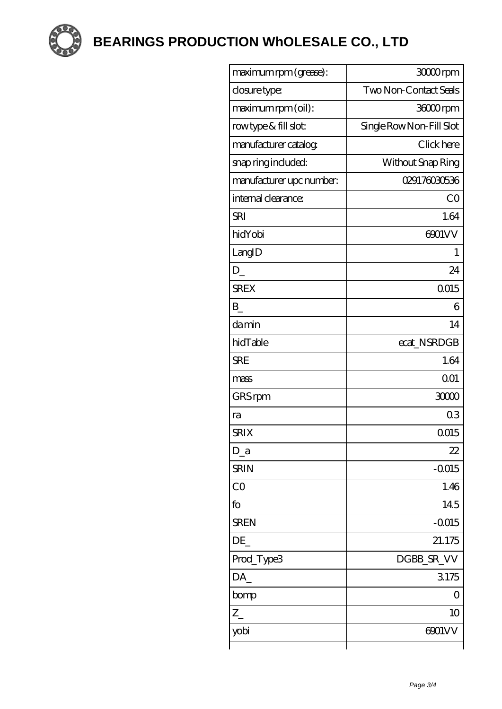

**BEARINGS PRODUCTION WHOLESALE CO., LTD** 

| maximum rpm (grease):    | 3000rpm                  |
|--------------------------|--------------------------|
| closure type:            | Two Non-Contact Seals    |
| maximum rpm (oil):       | 36000rpm                 |
| rowtype & fill slot:     | Single Row Non-Fill Slot |
| manufacturer catalog     | Click here               |
| snap ring included:      | Without Snap Ring        |
| manufacturer upc number: | 029176030536             |
| internal clearance:      | CO                       |
| <b>SRI</b>               | 1.64                     |
| hidYobi                  | 6901VV                   |
| LangID                   | 1                        |
| $D_{-}$                  | 24                       |
| <b>SREX</b>              | 0015                     |
| B                        | 6                        |
| damin                    | 14                       |
| hidTable                 | ecat_NSRDGB              |
| <b>SRE</b>               | 1.64                     |
| mass                     | 001                      |
| GRS rpm                  | 30000                    |
| ra                       | 0 <sub>3</sub>           |
| <b>SRIX</b>              | 0015                     |
| $D_a$                    | 22                       |
| <b>SRIN</b>              | $-0.015$                 |
| CO                       | 1.46                     |
| fo                       | 145                      |
| <b>SREN</b>              | $-0.015$                 |
| DE                       | 21.175                   |
| Prod_Type3               | DGBB_SR_VV               |
| DA                       | 3175                     |
| bomp                     | $\left( \right)$         |
| $Z_{-}$                  | 10                       |
| yobi                     | 6901VV                   |
|                          |                          |